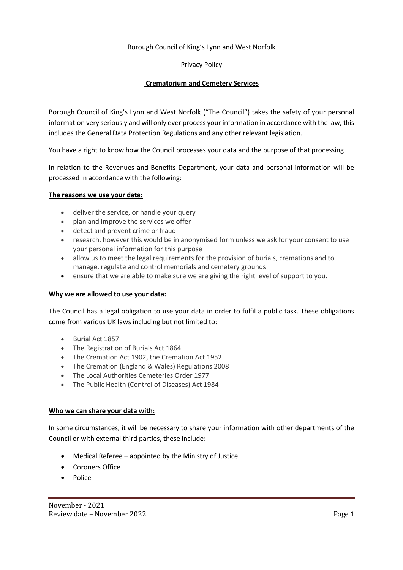## Borough Council of King's Lynn and West Norfolk

## Privacy Policy

# **Crematorium and Cemetery Services**

Borough Council of King's Lynn and West Norfolk ("The Council") takes the safety of your personal information very seriously and will only ever process your information in accordance with the law, this includes the General Data Protection Regulations and any other relevant legislation.

You have a right to know how the Council processes your data and the purpose of that processing.

In relation to the Revenues and Benefits Department, your data and personal information will be processed in accordance with the following:

#### **The reasons we use your data:**

- deliver the service, or handle your query
- plan and improve the services we offer
- detect and prevent crime or fraud
- research, however this would be in anonymised form unless we ask for your consent to use your personal information for this purpose
- allow us to meet the legal requirements for the provision of burials, cremations and to manage, regulate and control memorials and cemetery grounds
- ensure that we are able to make sure we are giving the right level of support to you.

#### **Why we are allowed to use your data:**

The Council has a legal obligation to use your data in order to fulfil a public task. These obligations come from various UK laws including but not limited to:

- Burial Act 1857
- The Registration of Burials Act 1864
- The Cremation Act 1902, the Cremation Act 1952
- The Cremation (England & Wales) Regulations 2008
- The Local Authorities Cemeteries Order 1977
- The Public Health (Control of Diseases) Act 1984

#### **Who we can share your data with:**

In some circumstances, it will be necessary to share your information with other departments of the Council or with external third parties, these include:

- Medical Referee appointed by the Ministry of Justice
- Coroners Office
- Police